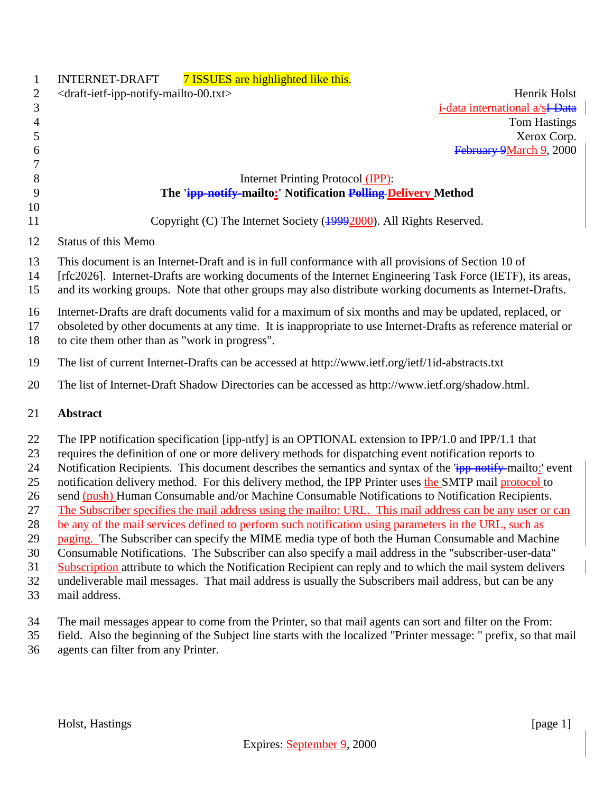| $\mathbf{1}$                                                         | 7 ISSUES are highlighted like this.<br><b>INTERNET-DRAFT</b>                                                                                                                                                                                                                                                                                                                                                                                                                                                                                                                                                                                                                                                                                                                                                                                                                                                                                                                                                                                                                                                                                                                                                         |
|----------------------------------------------------------------------|----------------------------------------------------------------------------------------------------------------------------------------------------------------------------------------------------------------------------------------------------------------------------------------------------------------------------------------------------------------------------------------------------------------------------------------------------------------------------------------------------------------------------------------------------------------------------------------------------------------------------------------------------------------------------------------------------------------------------------------------------------------------------------------------------------------------------------------------------------------------------------------------------------------------------------------------------------------------------------------------------------------------------------------------------------------------------------------------------------------------------------------------------------------------------------------------------------------------|
| $\overline{c}$                                                       | <draft-ietf-ipp-notify-mailto-00.txt><br/>Henrik Holst</draft-ietf-ipp-notify-mailto-00.txt>                                                                                                                                                                                                                                                                                                                                                                                                                                                                                                                                                                                                                                                                                                                                                                                                                                                                                                                                                                                                                                                                                                                         |
| $\mathfrak{Z}$                                                       | i-data international a/sI-Data                                                                                                                                                                                                                                                                                                                                                                                                                                                                                                                                                                                                                                                                                                                                                                                                                                                                                                                                                                                                                                                                                                                                                                                       |
| 4                                                                    | Tom Hastings                                                                                                                                                                                                                                                                                                                                                                                                                                                                                                                                                                                                                                                                                                                                                                                                                                                                                                                                                                                                                                                                                                                                                                                                         |
| $\mathfrak{S}$                                                       | Xerox Corp.                                                                                                                                                                                                                                                                                                                                                                                                                                                                                                                                                                                                                                                                                                                                                                                                                                                                                                                                                                                                                                                                                                                                                                                                          |
| 6                                                                    | February 9March 9, 2000                                                                                                                                                                                                                                                                                                                                                                                                                                                                                                                                                                                                                                                                                                                                                                                                                                                                                                                                                                                                                                                                                                                                                                                              |
| 7                                                                    |                                                                                                                                                                                                                                                                                                                                                                                                                                                                                                                                                                                                                                                                                                                                                                                                                                                                                                                                                                                                                                                                                                                                                                                                                      |
| $8\,$                                                                | Internet Printing Protocol (IPP):                                                                                                                                                                                                                                                                                                                                                                                                                                                                                                                                                                                                                                                                                                                                                                                                                                                                                                                                                                                                                                                                                                                                                                                    |
| 9                                                                    | The 'ipp-notify-mailto:' Notification Polling Delivery Method                                                                                                                                                                                                                                                                                                                                                                                                                                                                                                                                                                                                                                                                                                                                                                                                                                                                                                                                                                                                                                                                                                                                                        |
| 10<br>11                                                             | Copyright (C) The Internet Society (19992000). All Rights Reserved.                                                                                                                                                                                                                                                                                                                                                                                                                                                                                                                                                                                                                                                                                                                                                                                                                                                                                                                                                                                                                                                                                                                                                  |
| 12                                                                   | <b>Status of this Memo</b>                                                                                                                                                                                                                                                                                                                                                                                                                                                                                                                                                                                                                                                                                                                                                                                                                                                                                                                                                                                                                                                                                                                                                                                           |
| 13<br>14<br>15                                                       | This document is an Internet-Draft and is in full conformance with all provisions of Section 10 of<br>[rfc2026]. Internet-Drafts are working documents of the Internet Engineering Task Force (IETF), its areas,<br>and its working groups. Note that other groups may also distribute working documents as Internet-Drafts.                                                                                                                                                                                                                                                                                                                                                                                                                                                                                                                                                                                                                                                                                                                                                                                                                                                                                         |
| 16<br>17<br>18                                                       | Internet-Drafts are draft documents valid for a maximum of six months and may be updated, replaced, or<br>obsoleted by other documents at any time. It is inappropriate to use Internet-Drafts as reference material or<br>to cite them other than as "work in progress".                                                                                                                                                                                                                                                                                                                                                                                                                                                                                                                                                                                                                                                                                                                                                                                                                                                                                                                                            |
| 19                                                                   | The list of current Internet-Drafts can be accessed at http://www.ietf.org/ietf/1id-abstracts.txt                                                                                                                                                                                                                                                                                                                                                                                                                                                                                                                                                                                                                                                                                                                                                                                                                                                                                                                                                                                                                                                                                                                    |
| 20                                                                   | The list of Internet-Draft Shadow Directories can be accessed as http://www.ietf.org/shadow.html.                                                                                                                                                                                                                                                                                                                                                                                                                                                                                                                                                                                                                                                                                                                                                                                                                                                                                                                                                                                                                                                                                                                    |
| 21                                                                   | <b>Abstract</b>                                                                                                                                                                                                                                                                                                                                                                                                                                                                                                                                                                                                                                                                                                                                                                                                                                                                                                                                                                                                                                                                                                                                                                                                      |
| 22<br>23<br>24<br>25<br>26<br>27<br>28<br>29<br>30<br>31<br>32<br>33 | The IPP notification specification [ipp-ntfy] is an OPTIONAL extension to IPP/1.0 and IPP/1.1 that<br>requires the definition of one or more delivery methods for dispatching event notification reports to<br>Notification Recipients. This document describes the semantics and syntax of the 'ipp-notify-mailto:' event<br>notification delivery method. For this delivery method, the IPP Printer uses the SMTP mail protocol to<br>send (push) Human Consumable and/or Machine Consumable Notifications to Notification Recipients.<br>The Subscriber specifies the mail address using the mailto: URL. This mail address can be any user or can<br>be any of the mail services defined to perform such notification using parameters in the URL, such as<br>paging. The Subscriber can specify the MIME media type of both the Human Consumable and Machine<br>Consumable Notifications. The Subscriber can also specify a mail address in the "subscriber-user-data"<br>Subscription attribute to which the Notification Recipient can reply and to which the mail system delivers<br>undeliverable mail messages. That mail address is usually the Subscribers mail address, but can be any<br>mail address. |
| 34<br>35                                                             | The mail messages appear to come from the Printer, so that mail agents can sort and filter on the From:<br>field. Also the beginning of the Subject line starts with the localized "Printer message: " prefix, so that mail                                                                                                                                                                                                                                                                                                                                                                                                                                                                                                                                                                                                                                                                                                                                                                                                                                                                                                                                                                                          |

agents can filter from any Printer.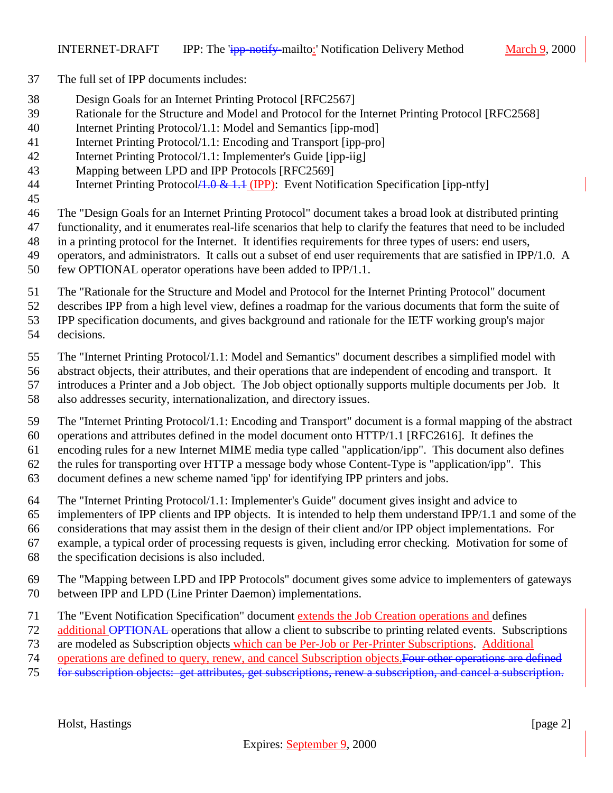- The full set of IPP documents includes:
- Design Goals for an Internet Printing Protocol [RFC2567]
- Rationale for the Structure and Model and Protocol for the Internet Printing Protocol [RFC2568]
- Internet Printing Protocol/1.1: Model and Semantics [ipp-mod]
- Internet Printing Protocol/1.1: Encoding and Transport [ipp-pro]
- Internet Printing Protocol/1.1: Implementer's Guide [ipp-iig]
- Mapping between LPD and IPP Protocols [RFC2569]
- 44 Internet Printing Protocol A.0 & 1.4 (IPP): Event Notification Specification [ipp-ntfy]
- 

The "Design Goals for an Internet Printing Protocol" document takes a broad look at distributed printing

- functionality, and it enumerates real-life scenarios that help to clarify the features that need to be included
- in a printing protocol for the Internet. It identifies requirements for three types of users: end users,
- operators, and administrators. It calls out a subset of end user requirements that are satisfied in IPP/1.0. A few OPTIONAL operator operations have been added to IPP/1.1.
- 
- The "Rationale for the Structure and Model and Protocol for the Internet Printing Protocol" document

describes IPP from a high level view, defines a roadmap for the various documents that form the suite of

IPP specification documents, and gives background and rationale for the IETF working group's major

decisions.

The "Internet Printing Protocol/1.1: Model and Semantics" document describes a simplified model with

abstract objects, their attributes, and their operations that are independent of encoding and transport. It

introduces a Printer and a Job object. The Job object optionally supports multiple documents per Job. It

also addresses security, internationalization, and directory issues.

 The "Internet Printing Protocol/1.1: Encoding and Transport" document is a formal mapping of the abstract operations and attributes defined in the model document onto HTTP/1.1 [RFC2616]. It defines the

encoding rules for a new Internet MIME media type called "application/ipp". This document also defines

the rules for transporting over HTTP a message body whose Content-Type is "application/ipp". This

document defines a new scheme named 'ipp' for identifying IPP printers and jobs.

The "Internet Printing Protocol/1.1: Implementer's Guide" document gives insight and advice to

implementers of IPP clients and IPP objects. It is intended to help them understand IPP/1.1 and some of the

considerations that may assist them in the design of their client and/or IPP object implementations. For

example, a typical order of processing requests is given, including error checking. Motivation for some of

- the specification decisions is also included.
- The "Mapping between LPD and IPP Protocols" document gives some advice to implementers of gateways between IPP and LPD (Line Printer Daemon) implementations.

The "Event Notification Specification" document extends the Job Creation operations and defines

- 72 additional OPTIONAL operations that allow a client to subscribe to printing related events. Subscriptions
- are modeled as Subscription objects which can be Per-Job or Per-Printer Subscriptions. Additional
- operations are defined to query, renew, and cancel Subscription objects.Four other operations are defined
- for subscription objects: get attributes, get subscriptions, renew a subscription, and cancel a subscription.

Holst, Hastings [page 2]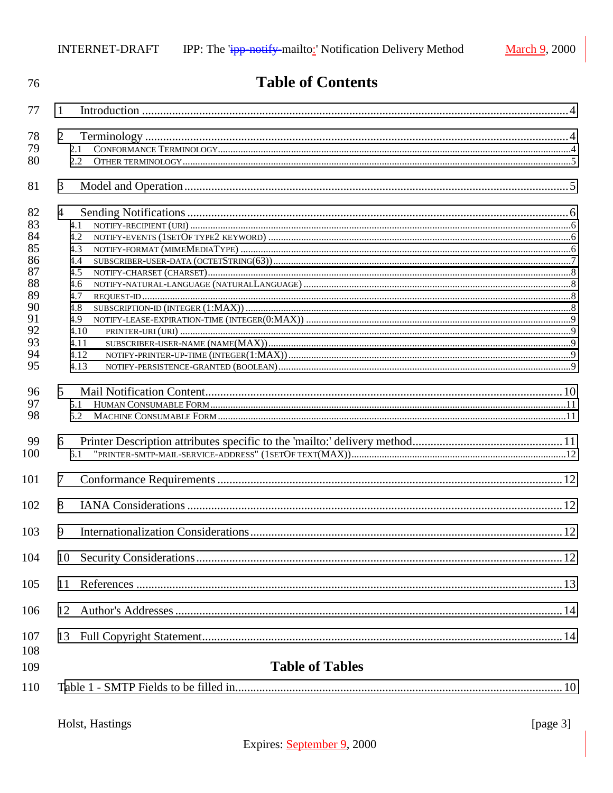| 76                                                                               | <b>Table of Contents</b>                                                                         |              |
|----------------------------------------------------------------------------------|--------------------------------------------------------------------------------------------------|--------------|
| 77                                                                               | 1                                                                                                |              |
| 78<br>79<br>80                                                                   | $\overline{2}$<br>2.1<br>$2.2^{\circ}$                                                           |              |
| 81                                                                               | 3                                                                                                |              |
| 82<br>83<br>84<br>85<br>86<br>87<br>88<br>89<br>90<br>91<br>92<br>93<br>94<br>95 | 4<br>4.1<br>4.2<br>4.3<br>4.4<br>4.5<br>4.6<br>4.7<br>4.8<br>4.9<br>4.10<br>4.11<br>4.12<br>4.13 |              |
| 96<br>97<br>98<br>99<br>100                                                      | $5^{\circ}$<br>5.1<br>6<br>6.1                                                                   |              |
| 101                                                                              | $7\phantom{.0}$                                                                                  |              |
| 102<br>103                                                                       | 8<br>9                                                                                           |              |
| 104                                                                              | 10                                                                                               |              |
| 105                                                                              | 11                                                                                               |              |
| 106                                                                              | 12                                                                                               |              |
| 107<br>108<br>109<br>110                                                         | <b>Table of Tables</b>                                                                           |              |
|                                                                                  | Holst, Hastings                                                                                  | [ $page 3$ ] |

# Expires: September 9, 2000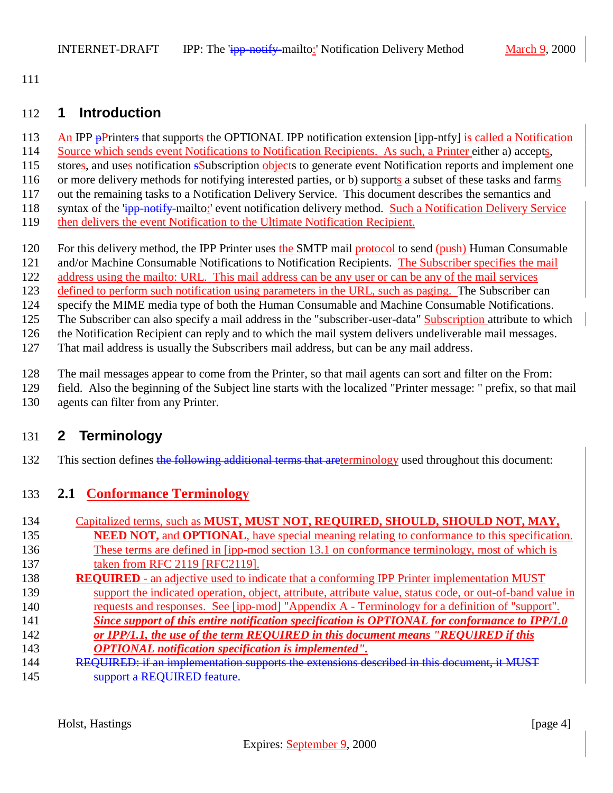<span id="page-3-0"></span>111

#### 112 **1 Introduction**

- 113 An IPP pPrinters that supports the OPTIONAL IPP notification extension [ipp-ntfy] is called a Notification
- 114 Source which sends event Notifications to Notification Recipients. As such, a Printer either a) accepts,
- 115 stores, and uses notification sSubscription objects to generate event Notification reports and implement one
- 116 or more delivery methods for notifying interested parties, or b) supports a subset of these tasks and farms
- 117 out the remaining tasks to a Notification Delivery Service. This document describes the semantics and
- 118 syntax of the 'ipp-notify-mailto:' event notification delivery method. Such a Notification Delivery Service
- 119 then delivers the event Notification to the Ultimate Notification Recipient.
- 120 For this delivery method, the IPP Printer uses the SMTP mail protocol to send (push) Human Consumable
- 121 and/or Machine Consumable Notifications to Notification Recipients. The Subscriber specifies the mail
- 122 address using the mailto: URL. This mail address can be any user or can be any of the mail services
- 123 defined to perform such notification using parameters in the URL, such as paging. The Subscriber can
- 124 specify the MIME media type of both the Human Consumable and Machine Consumable Notifications.
- 125 The Subscriber can also specify a mail address in the "subscriber-user-data" Subscription attribute to which

126 the Notification Recipient can reply and to which the mail system delivers undeliverable mail messages.

127 That mail address is usually the Subscribers mail address, but can be any mail address.

128 The mail messages appear to come from the Printer, so that mail agents can sort and filter on the From:

- 129 field. Also the beginning of the Subject line starts with the localized "Printer message: " prefix, so that mail 130 agents can filter from any Printer.
- 

# 131 **2 Terminology**

132 This section defines the following additional terms that areterminology used throughout this document:

# 133 **2.1 Conformance Terminology**

| 134 | Capitalized terms, such as MUST, MUST NOT, REQUIRED, SHOULD, SHOULD NOT, MAY,                             |
|-----|-----------------------------------------------------------------------------------------------------------|
| 135 | <b>NEED NOT, and OPTIONAL</b> , have special meaning relating to conformance to this specification.       |
| 136 | These terms are defined in [ipp-mod section 13.1 on conformance terminology, most of which is             |
| 137 | taken from RFC 2119 [RFC2119].                                                                            |
| 138 | <b>REQUIRED</b> - an adjective used to indicate that a conforming IPP Printer implementation MUST         |
| 139 | support the indicated operation, object, attribute, attribute value, status code, or out-of-band value in |
| 140 | requests and responses. See [ipp-mod] "Appendix A - Terminology for a definition of "support".            |
| 141 | Since support of this entire notification specification is OPTIONAL for conformance to IPP/1.0            |
| 142 | or IPP/1.1, the use of the term REQUIRED in this document means "REQUIRED if this                         |
| 143 | <b>OPTIONAL</b> notification specification is implemented".                                               |
| 144 | REQUIRED: if an implementation supports the extensions described in this document, it MUST                |
| 145 | support a REQUIRED feature.                                                                               |

Holst, Hastings [page 4]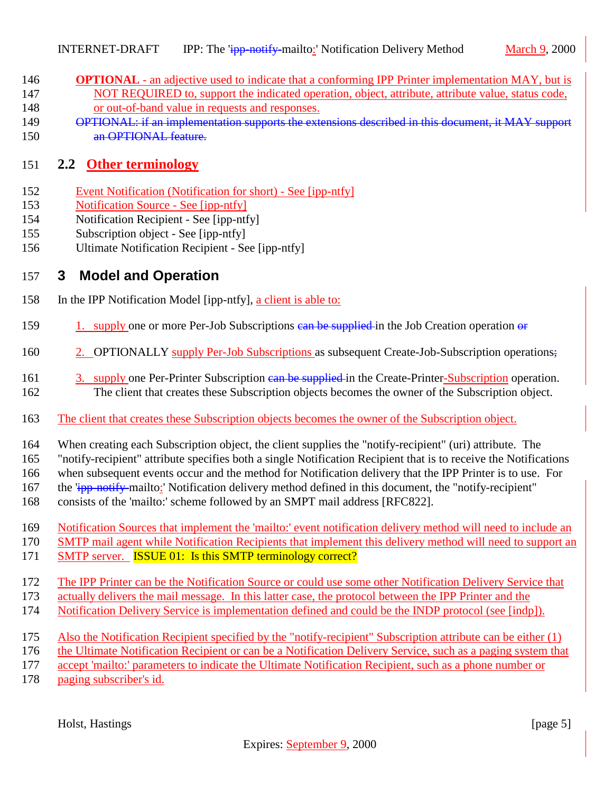- <span id="page-4-0"></span>**OPTIONAL** - an adjective used to indicate that a conforming IPP Printer implementation MAY, but is 147 NOT REQUIRED to, support the indicated operation, object, attribute, attribute value, status code,
- or out-of-band value in requests and responses.
- OPTIONAL: if an implementation supports the extensions described in this document, it MAY support an OPTIONAL feature.

### **2.2 Other terminology**

- Event Notification (Notification for short) See [ipp-ntfy]
- Notification Source See [ipp-ntfy]
- Notification Recipient See [ipp-ntfy]
- Subscription object See [ipp-ntfy]
- Ultimate Notification Recipient See [ipp-ntfy]

#### **3 Model and Operation**

- In the IPP Notification Model [ipp-ntfy], a client is able to:
- 159 1. supply one or more Per-Job Subscriptions can be supplied in the Job Creation operation or
- 160 2. OPTIONALLY supply Per-Job Subscriptions as subsequent Create-Job-Subscription operations;
- 161 3. supply one Per-Printer Subscription can be supplied in the Create-Printer-Subscription operation. The client that creates these Subscription objects becomes the owner of the Subscription object.
- The client that creates these Subscription objects becomes the owner of the Subscription object.

When creating each Subscription object, the client supplies the "notify-recipient" (uri) attribute. The

"notify-recipient" attribute specifies both a single Notification Recipient that is to receive the Notifications

when subsequent events occur and the method for Notification delivery that the IPP Printer is to use. For

167 the  $\frac{1}{1}$  the  $\frac{1}{1}$  - notify-mailto: Notification delivery method defined in this document, the "notify-recipient"

- consists of the 'mailto:' scheme followed by an SMPT mail address [RFC822].
- Notification Sources that implement the 'mailto:' event notification delivery method will need to include an
- SMTP mail agent while Notification Recipients that implement this delivery method will need to support an
- 171 SMTP server. **ISSUE 01:** Is this SMTP terminology correct?
- The IPP Printer can be the Notification Source or could use some other Notification Delivery Service that
- actually delivers the mail message. In this latter case, the protocol between the IPP Printer and the
- Notification Delivery Service is implementation defined and could be the INDP protocol (see [indp]).
- Also the Notification Recipient specified by the "notify-recipient" Subscription attribute can be either (1)
- the Ultimate Notification Recipient or can be a Notification Delivery Service, such as a paging system that
- accept 'mailto:' parameters to indicate the Ultimate Notification Recipient, such as a phone number or
- paging subscriber's id.

Holst, Hastings [page 5]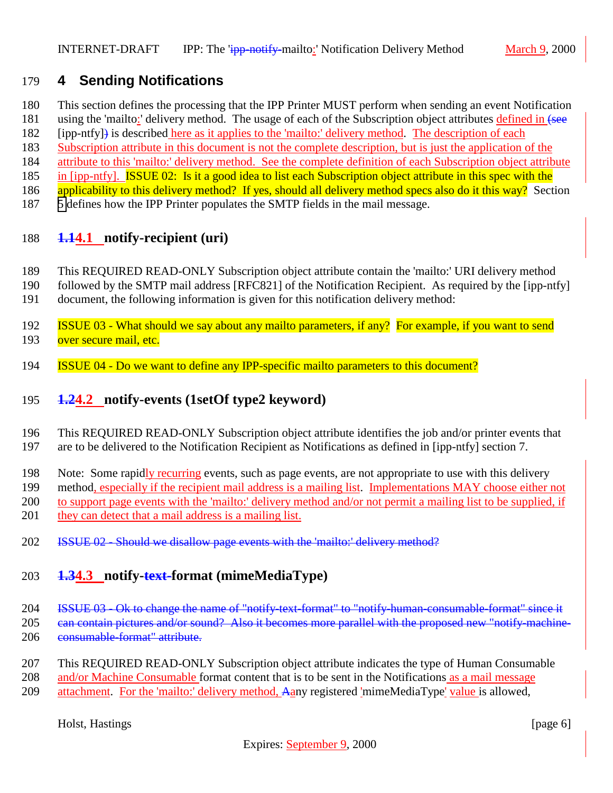# <span id="page-5-0"></span>**4 Sending Notifications**

- This section defines the processing that the IPP Printer MUST perform when sending an event Notification
- 181 using the 'mailto:' delivery method. The usage of each of the Subscription object attributes defined in (see
- [ipp-ntfy]) is described here as it applies to the 'mailto:' delivery method. The description of each
- Subscription attribute in this document is not the complete description, but is just the application of the
- attribute to this 'mailto:' delivery method. See the complete definition of each Subscription object attribute
- 185 in [ipp-ntfy]. **ISSUE 02:** Is it a good idea to list each Subscription object attribute in this spec with the
- 186 applicability to this delivery method? If yes, should all delivery method specs also do it this way? Section
- [5](#page-9-0) defines how the IPP Printer populates the SMTP fields in the mail message.

# **1.14.1 notify-recipient (uri)**

- This REQUIRED READ-ONLY Subscription object attribute contain the 'mailto:' URI delivery method
- followed by the SMTP mail address [RFC821] of the Notification Recipient. As required by the [ipp-ntfy]
- document, the following information is given for this notification delivery method:
- ISSUE 03 What should we say about any mailto parameters, if any? For example, if you want to send 193 over secure mail, etc.
- ISSUE 04 Do we want to define any IPP-specific mailto parameters to this document?

# **1.24.2 notify-events (1setOf type2 keyword)**

- This REQUIRED READ-ONLY Subscription object attribute identifies the job and/or printer events that are to be delivered to the Notification Recipient as Notifications as defined in [ipp-ntfy] section 7.
- Note: Some rapidly recurring events, such as page events, are not appropriate to use with this delivery
- method, especially if the recipient mail address is a mailing list. Implementations MAY choose either not
- to support page events with the 'mailto:' delivery method and/or not permit a mailing list to be supplied, if
- 201 they can detect that a mail address is a mailing list.
- **ISSUE 02 Should we disallow page events with the 'mailto:' delivery method?**

# **1.34.3 notify-text-format (mimeMediaType)**

- ISSUE 03 Ok to change the name of "notify-text-format" to "notify-human-consumable-format" since it 205 ean contain pictures and/or sound? Also it becomes more parallel with the proposed new "notify-machine-206 consumable-format" attribute.
- This REQUIRED READ-ONLY Subscription object attribute indicates the type of Human Consumable 208 and/or Machine Consumable format content that is to be sent in the Notifications as a mail message attachment. For the 'mailto:' delivery method, Aany registered 'mimeMediaType' value is allowed,

Holst, Hastings [page 6] [page 6]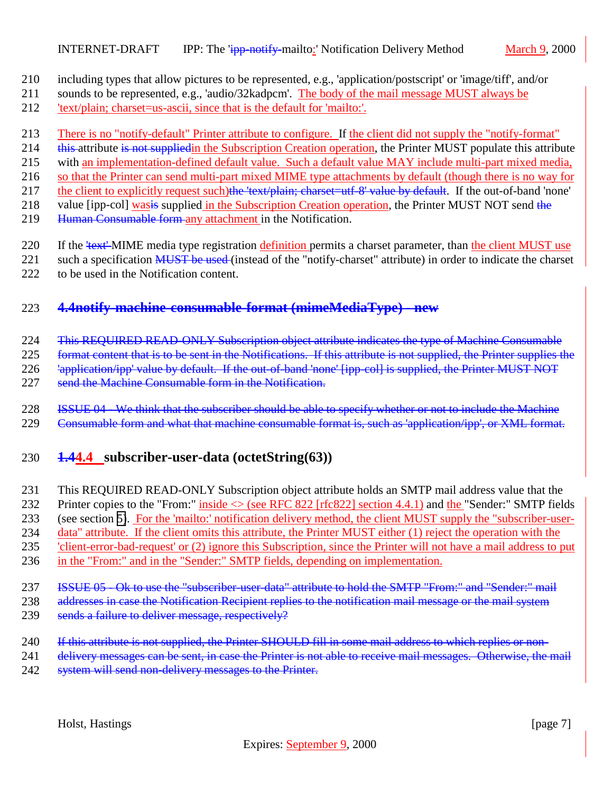- <span id="page-6-0"></span>210 including types that allow pictures to be represented, e.g., 'application/postscript' or 'image/tiff', and/or
- 211 sounds to be represented, e.g., 'audio/32kadpcm'. The body of the mail message MUST always be 212 'text/plain; charset=us-ascii, since that is the default for 'mailto:'.
- 
- 213 There is no "notify-default" Printer attribute to configure. If the client did not supply the "notify-format"
- 214 this attribute is not supplied in the Subscription Creation operation, the Printer MUST populate this attribute
- 215 with an implementation-defined default value. Such a default value MAY include multi-part mixed media,
- 216 so that the Printer can send multi-part mixed MIME type attachments by default (though there is no way for
- 217 the client to explicitly request such)the 'text/plain; charset=utf-8' value by default. If the out-of-band 'none'
- 218 value [ipp-col] was is supplied in the Subscription Creation operation, the Printer MUST NOT send the
- 219 Human Consumable form any attachment in the Notification.
- 220 If the 'text' MIME media type registration definition permits a charset parameter, than the client MUST use
- 221 such a specification MUST be used (instead of the "notify-charset" attribute) in order to indicate the charset
- 222 to be used in the Notification content.

# 223 **4.4notify-machine-consumable-format (mimeMediaType) - new**

224 This REQUIRED READ-ONLY Subscription object attribute indicates the type of Machine Consumable

225 format content that is to be sent in the Notifications. If this attribute is not supplied, the Printer supplies the

226 <sup>'</sup>application/ipp' value by default. If the out-of-band 'none' [ipp-col] is supplied, the Printer MUST NOT

- 227 send the Machine Consumable form in the Notification.
- 228 ISSUE 04 We think that the subscriber should be able to specify whether or not to include the Machine
- 229 Consumable form and what that machine consumable format is, such as 'application/ipp', or XML format.

# 230 **1.44.4 subscriber-user-data (octetString(63))**

- 231 This REQUIRED READ-ONLY Subscription object attribute holds an SMTP mail address value that the
- 232 Printer copies to the "From:" inside  $\leq$  (see RFC 822 [rfc822] section 4.4.1) and the "Sender:" SMTP fields
- 233 (see section [5\)](#page-9-0). For the 'mailto:' notification delivery method, the client MUST supply the "subscriber-user-
- 234 data" attribute. If the client omits this attribute, the Printer MUST either (1) reject the operation with the
- 235 'client-error-bad-request' or (2) ignore this Subscription, since the Printer will not have a mail address to put
- 236 in the "From:" and in the "Sender:" SMTP fields, depending on implementation.
- 237 ISSUE 05 Ok to use the "subscriber-user-data" attribute to hold the SMTP "From:" and "Sender:" mail
- 238 addresses in case the Notification Recipient replies to the notification mail message or the mail system
- 239 sends a failure to deliver message, respectively?
- 240 If this attribute is not supplied, the Printer SHOULD fill in some mail address to which replies or non-
- 241 delivery messages can be sent, in case the Printer is not able to receive mail messages. Otherwise, the mail
- 242 system will send non-delivery messages to the Printer.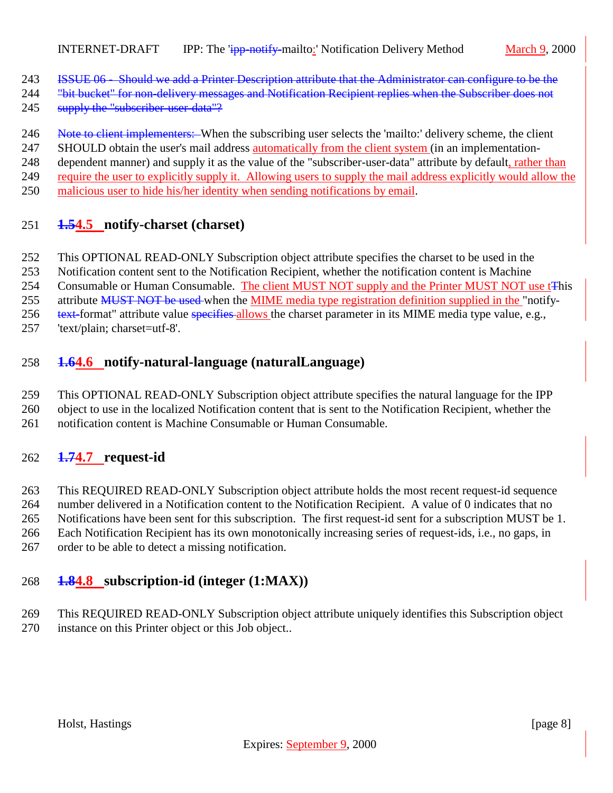- <span id="page-7-0"></span>ISSUE 06 - Should we add a Printer Description attribute that the Administrator can configure to be the
- 244 "bit bucket" for non-delivery messages and Notification Recipient replies when the Subscriber does not
- 245 supply the "subscriber-user-data"?
- 246 Note to client implementers: When the subscribing user selects the 'mailto:' delivery scheme, the client
- 247 SHOULD obtain the user's mail address **automatically from the client system** (in an implementation-
- 248 dependent manner) and supply it as the value of the "subscriber-user-data" attribute by default, rather than
- require the user to explicitly supply it. Allowing users to supply the mail address explicitly would allow the
- malicious user to hide his/her identity when sending notifications by email.

#### **1.54.5 notify-charset (charset)**

- This OPTIONAL READ-ONLY Subscription object attribute specifies the charset to be used in the
- Notification content sent to the Notification Recipient, whether the notification content is Machine
- 254 Consumable or Human Consumable. The client MUST NOT supply and the Printer MUST NOT use t<sup>This</sup>
- 255 attribute MUST NOT be used when the MIME media type registration definition supplied in the "notify-
- 256 text-format" attribute value specifies allows the charset parameter in its MIME media type value, e.g.,
- 'text/plain; charset=utf-8'.

#### **1.64.6 notify-natural-language (naturalLanguage)**

- This OPTIONAL READ-ONLY Subscription object attribute specifies the natural language for the IPP
- object to use in the localized Notification content that is sent to the Notification Recipient, whether the
- notification content is Machine Consumable or Human Consumable.

#### **1.74.7 request-id**

- This REQUIRED READ-ONLY Subscription object attribute holds the most recent request-id sequence
- number delivered in a Notification content to the Notification Recipient. A value of 0 indicates that no
- Notifications have been sent for this subscription. The first request-id sent for a subscription MUST be 1.
- Each Notification Recipient has its own monotonically increasing series of request-ids, i.e., no gaps, in
- order to be able to detect a missing notification.

#### **1.84.8 subscription-id (integer (1:MAX))**

 This REQUIRED READ-ONLY Subscription object attribute uniquely identifies this Subscription object instance on this Printer object or this Job object..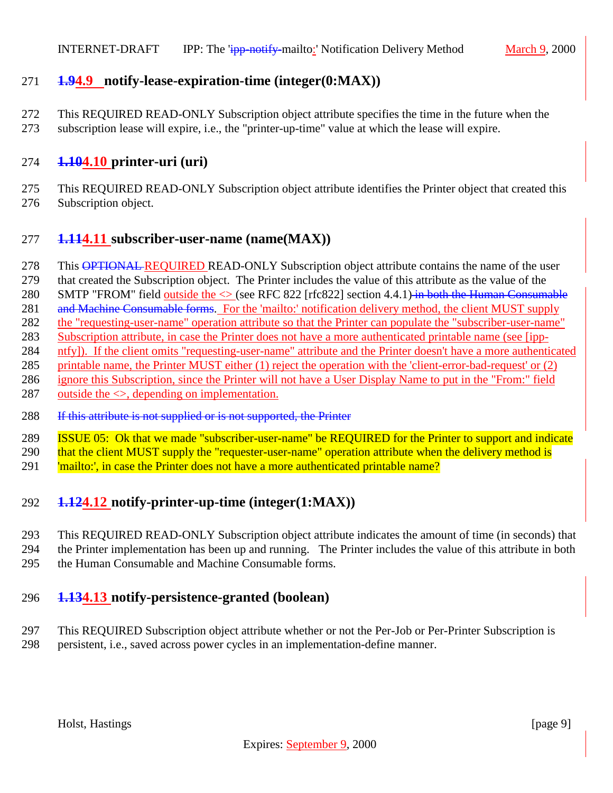#### <span id="page-8-0"></span>**1.94.9 notify-lease-expiration-time (integer(0:MAX))**

- This REQUIRED READ-ONLY Subscription object attribute specifies the time in the future when the
- subscription lease will expire, i.e., the "printer-up-time" value at which the lease will expire.

## **1.104.10 printer-uri (uri)**

 This REQUIRED READ-ONLY Subscription object attribute identifies the Printer object that created this Subscription object.

## **1.114.11 subscriber-user-name (name(MAX))**

- 278 This **OPTIONAL REQUIRED READ-ONLY** Subscription object attribute contains the name of the user
- that created the Subscription object. The Printer includes the value of this attribute as the value of the
- 280 SMTP "FROM" field outside the  $\leq$  (see RFC 822 [rfc822] section 4.4.1) in both the Human Consumable
- and Machine Consumable forms. For the 'mailto:' notification delivery method, the client MUST supply
- 282 the "requesting-user-name" operation attribute so that the Printer can populate the "subscriber-user-name"
- Subscription attribute, in case the Printer does not have a more authenticated printable name (see [ipp-
- ntfy]). If the client omits "requesting-user-name" attribute and the Printer doesn't have a more authenticated
- printable name, the Printer MUST either (1) reject the operation with the 'client-error-bad-request' or (2)
- ignore this Subscription, since the Printer will not have a User Display Name to put in the "From:" field 287 outside the  $\leq$ , depending on implementation.
- 288 If this attribute is not supplied or is not supported, the Printer
- ISSUE 05: Ok that we made "subscriber-user-name" be REQUIRED for the Printer to support and indicate
- 290 that the client MUST supply the "requester-user-name" operation attribute when the delivery method is
- 291 | 'mailto:', in case the Printer does not have a more authenticated printable name?

# **1.124.12 notify-printer-up-time (integer(1:MAX))**

- This REQUIRED READ-ONLY Subscription object attribute indicates the amount of time (in seconds) that the Printer implementation has been up and running. The Printer includes the value of this attribute in both
- the Human Consumable and Machine Consumable forms.

# **1.134.13 notify-persistence-granted (boolean)**

 This REQUIRED Subscription object attribute whether or not the Per-Job or Per-Printer Subscription is persistent, i.e., saved across power cycles in an implementation-define manner.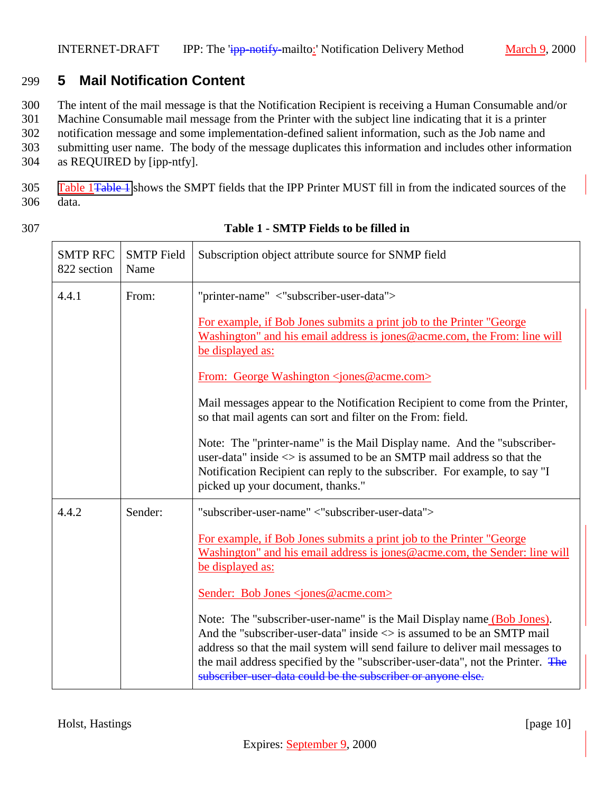# <span id="page-9-0"></span>299 **5 Mail Notification Content**

300 The intent of the mail message is that the Notification Recipient is receiving a Human Consumable and/or

301 Machine Consumable mail message from the Printer with the subject line indicating that it is a printer 302 notification message and some implementation-defined salient information, such as the Job name and

303 submitting user name. The body of the message duplicates this information and includes other information

304 as REQUIRED by [ipp-ntfy].

305 Table 1Table 1 shows the SMPT fields that the IPP Printer MUST fill in from the indicated sources of the 306 data.

| <b>SMTP RFC</b><br>822 section | <b>SMTP</b> Field<br>Name | Subscription object attribute source for SNMP field                                                                                                                                                                                                                                                                                                                                                |
|--------------------------------|---------------------------|----------------------------------------------------------------------------------------------------------------------------------------------------------------------------------------------------------------------------------------------------------------------------------------------------------------------------------------------------------------------------------------------------|
| 4.4.1                          | From:                     | "printer-name" <"subscriber-user-data">                                                                                                                                                                                                                                                                                                                                                            |
|                                |                           | For example, if Bob Jones submits a print job to the Printer "George"<br>Washington" and his email address is jones@acme.com, the From: line will<br>be displayed as:                                                                                                                                                                                                                              |
|                                |                           | From: George Washington <jones@acme.com></jones@acme.com>                                                                                                                                                                                                                                                                                                                                          |
|                                |                           | Mail messages appear to the Notification Recipient to come from the Printer,<br>so that mail agents can sort and filter on the From: field.                                                                                                                                                                                                                                                        |
|                                |                           | Note: The "printer-name" is the Mail Display name. And the "subscriber-<br>user-data" inside $\langle \rangle$ is assumed to be an SMTP mail address so that the<br>Notification Recipient can reply to the subscriber. For example, to say "I<br>picked up your document, thanks."                                                                                                                |
| 4.4.2                          | Sender:                   | "subscriber-user-name" <"subscriber-user-data">                                                                                                                                                                                                                                                                                                                                                    |
|                                |                           | For example, if Bob Jones submits a print job to the Printer "George"<br>Washington" and his email address is jones@acme.com, the Sender: line will<br>be displayed as:                                                                                                                                                                                                                            |
|                                |                           | Sender: Bob Jones <jones@acme.com></jones@acme.com>                                                                                                                                                                                                                                                                                                                                                |
|                                |                           | Note: The "subscriber-user-name" is the Mail Display name (Bob Jones).<br>And the "subscriber-user-data" inside $\langle \rangle$ is assumed to be an SMTP mail<br>address so that the mail system will send failure to deliver mail messages to<br>the mail address specified by the "subscriber-user-data", not the Printer. The<br>subscriber-user-data could be the subscriber or anyone else. |

#### 307 **Table 1 - SMTP Fields to be filled in**

Holst, Hastings [page 10]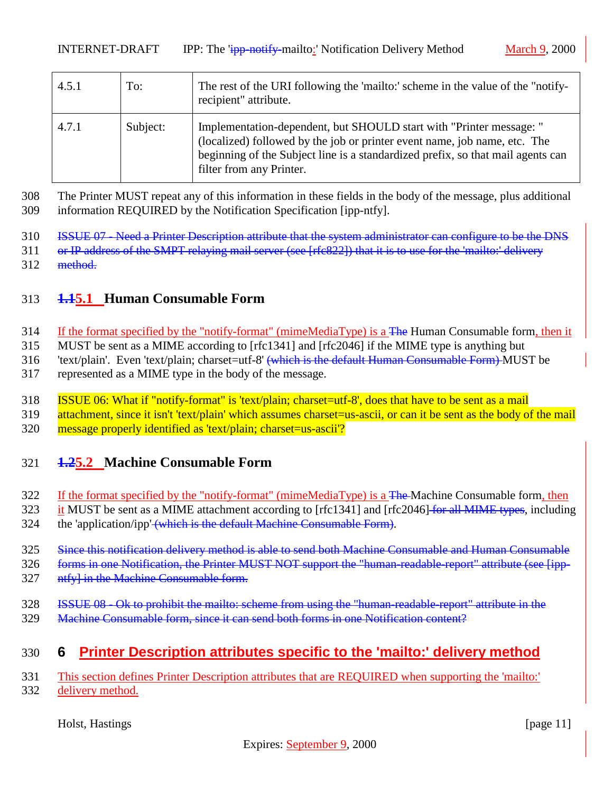<span id="page-10-0"></span>

| 4.5.1 | To:      | The rest of the URI following the 'mailto:' scheme in the value of the "notify-<br>recipient" attribute.                                                                                                                                                        |
|-------|----------|-----------------------------------------------------------------------------------------------------------------------------------------------------------------------------------------------------------------------------------------------------------------|
| 4.7.1 | Subject: | Implementation-dependent, but SHOULD start with "Printer message: "<br>(localized) followed by the job or printer event name, job name, etc. The<br>beginning of the Subject line is a standardized prefix, so that mail agents can<br>filter from any Printer. |

308 The Printer MUST repeat any of this information in these fields in the body of the message, plus additional 309 information REQUIRED by the Notification Specification [ipp-ntfy].

310 ISSUE 07 - Need a Printer Description attribute that the system administrator can configure to be the DNS

- 311 or IP address of the SMPT relaying mail server (see [rfc822]) that it is to use for the 'mailto:' delivery
- 312 method.

#### 313 **1.15.1 Human Consumable Form**

- 314 If the format specified by the "notify-format" (mimeMediaType) is a <del>The</del> Human Consumable form, then it
- 315 MUST be sent as a MIME according to [rfc1341] and [rfc2046] if the MIME type is anything but
- 316 'text/plain'. Even 'text/plain; charset=utf-8' (which is the default Human Consumable Form) MUST be
- 317 represented as a MIME type in the body of the message.
- 318 ISSUE 06: What if "notify-format" is 'text/plain; charset=utf-8', does that have to be sent as a mail
- 319 attachment, since it isn't 'text/plain' which assumes charset=us-ascii, or can it be sent as the body of the mail
- 320 message properly identified as 'text/plain; charset=us-ascii'?

#### 321 **1.25.2 Machine Consumable Form**

- 322 If the format specified by the "notify-format" (mimeMediaType) is a The-Machine Consumable form, then
- 323 it MUST be sent as a MIME attachment according to [rfc1341] and [rfc2046] for all MIME types, including
- 324 the 'application/ipp' (which is the default Machine Consumable Form).
- 325 Since this notification delivery method is able to send both Machine Consumable and Human Consumable
- 326 forms in one Notification, the Printer MUST NOT support the "human-readable-report" attribute (see [ipp-
- 327 ntfyl in the Machine Consumable form.
- 328 ISSUE 08 Ok to prohibit the mailto: scheme from using the "human-readable-report" attribute in the
- 329 Machine Consumable form, since it can send both forms in one Notification content?

# 330 **6 Printer Description attributes specific to the 'mailto:' delivery method**

331 This section defines Printer Description attributes that are REQUIRED when supporting the 'mailto:' 332 delivery method.

Holst, Hastings [page 11] [page 11]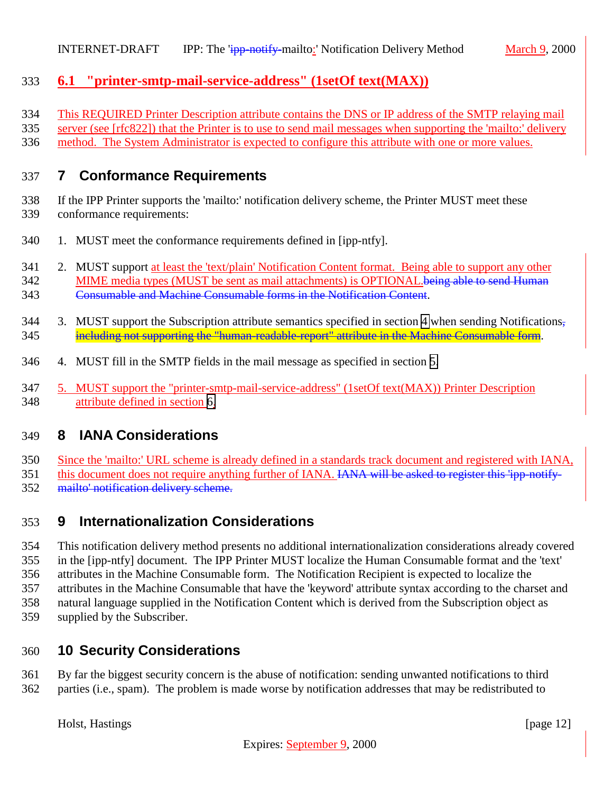## <span id="page-11-0"></span>**6.1 "printer-smtp-mail-service-address" (1setOf text(MAX))**

This REQUIRED Printer Description attribute contains the DNS or IP address of the SMTP relaying mail

server (see [rfc822]) that the Printer is to use to send mail messages when supporting the 'mailto:' delivery

method. The System Administrator is expected to configure this attribute with one or more values.

#### **7 Conformance Requirements**

 If the IPP Printer supports the 'mailto:' notification delivery scheme, the Printer MUST meet these conformance requirements:

- 1. MUST meet the conformance requirements defined in [ipp-ntfy].
- 341 2. MUST support at least the 'text/plain' Notification Content format. Being able to support any other 342 MIME media types (MUST be sent as mail attachments) is OPTIONAL. being able to send Human Consumable and Machine Consumable forms in the Notification Content.
- 344 3. MUST support the Subscription attribute semantics specified in section [4](#page-5-0) when sending Notifications, including not supporting the "human-readable-report" attribute in the Machine Consumable form.
- 4. MUST fill in the SMTP fields in the mail message as specified in section [5.](#page-9-0)
- 5. MUST support the "printer-smtp-mail-service-address" (1setOf text(MAX)) Printer Description attribute defined in section [6.](#page-10-0)

# **8 IANA Considerations**

 Since the 'mailto:' URL scheme is already defined in a standards track document and registered with IANA, 351 this document does not require anything further of IANA. IANA will be asked to register this 'ipp-notify-mailto' notification delivery scheme.

# **9 Internationalization Considerations**

 This notification delivery method presents no additional internationalization considerations already covered in the [ipp-ntfy] document. The IPP Printer MUST localize the Human Consumable format and the 'text' attributes in the Machine Consumable form. The Notification Recipient is expected to localize the attributes in the Machine Consumable that have the 'keyword' attribute syntax according to the charset and natural language supplied in the Notification Content which is derived from the Subscription object as supplied by the Subscriber.

# **10 Security Considerations**

# By far the biggest security concern is the abuse of notification: sending unwanted notifications to third

parties (i.e., spam). The problem is made worse by notification addresses that may be redistributed to

Holst, Hastings [page 12]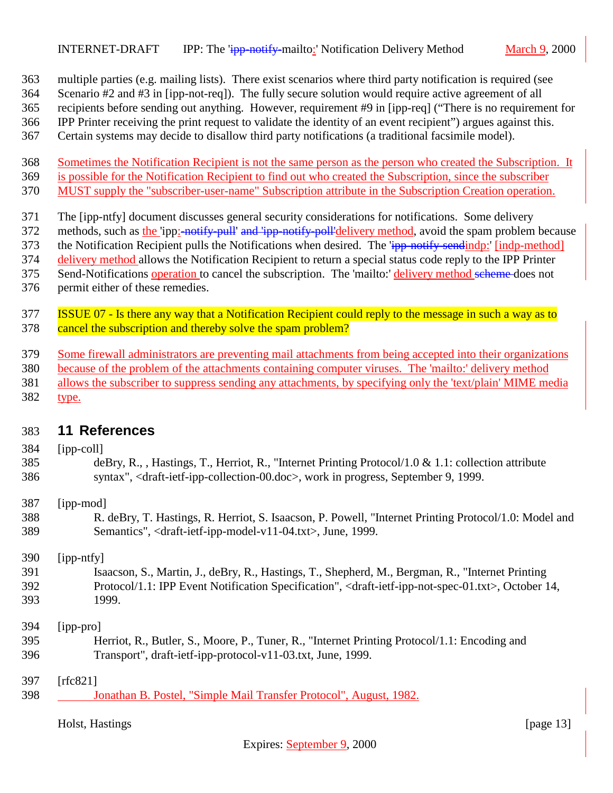<span id="page-12-0"></span>multiple parties (e.g. mailing lists). There exist scenarios where third party notification is required (see

Scenario #2 and #3 in [ipp-not-req]). The fully secure solution would require active agreement of all

recipients before sending out anything. However, requirement #9 in [ipp-req] ("There is no requirement for

IPP Printer receiving the print request to validate the identity of an event recipient") argues against this.

Certain systems may decide to disallow third party notifications (a traditional facsimile model).

 Sometimes the Notification Recipient is not the same person as the person who created the Subscription. It is possible for the Notification Recipient to find out who created the Subscription, since the subscriber

MUST supply the "subscriber-user-name" Subscription attribute in the Subscription Creation operation.

The [ipp-ntfy] document discusses general security considerations for notifications. Some delivery

372 methods, such as the 'ipp:-notify-pull' and 'ipp-notify-poll'delivery method, avoid the spam problem because

373 the Notification Recipient pulls the Notifications when desired. The 'ipp-notify-sendindp:' [indp-method]

delivery method allows the Notification Recipient to return a special status code reply to the IPP Printer

375 Send-Notifications operation to cancel the subscription. The 'mailto:' delivery method scheme does not permit either of these remedies.

 ISSUE 07 - Is there any way that a Notification Recipient could reply to the message in such a way as to 378 cancel the subscription and thereby solve the spam problem?

Some firewall administrators are preventing mail attachments from being accepted into their organizations

because of the problem of the attachments containing computer viruses. The 'mailto:' delivery method

allows the subscriber to suppress sending any attachments, by specifying only the 'text/plain' MIME media

type.

#### **11 References**

#### [ipp-coll]

- deBry, R., , Hastings, T., Herriot, R., "Internet Printing Protocol/1.0 & 1.1: collection attribute syntax", <draft-ietf-ipp-collection-00.doc>, work in progress, September 9, 1999.
- [ipp-mod]
- R. deBry, T. Hastings, R. Herriot, S. Isaacson, P. Powell, "Internet Printing Protocol/1.0: Model and Semantics", <draft-ietf-ipp-model-v11-04.txt>, June, 1999.

[ipp-ntfy]

 Isaacson, S., Martin, J., deBry, R., Hastings, T., Shepherd, M., Bergman, R., "Internet Printing Protocol/1.1: IPP Event Notification Specification", <draft-ietf-ipp-not-spec-01.txt>, October 14, 1999.

[ipp-pro]

- Herriot, R., Butler, S., Moore, P., Tuner, R., "Internet Printing Protocol/1.1: Encoding and Transport", draft-ietf-ipp-protocol-v11-03.txt, June, 1999.
- [rfc821]
- 398 Jonathan B. Postel, "Simple Mail Transfer Protocol", August, 1982.

Holst, Hastings [page 13]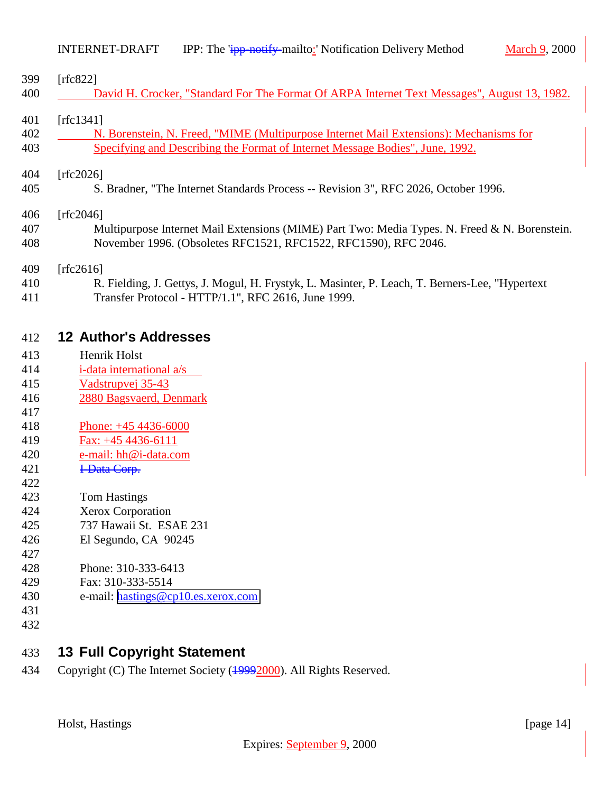<span id="page-13-0"></span>

| [rfc822]<br>David H. Crocker, "Standard For The Format Of ARPA Internet Text Messages", August 13, 1982. |
|----------------------------------------------------------------------------------------------------------|
| [rfc1341]                                                                                                |
| N. Borenstein, N. Freed, "MIME (Multipurpose Internet Mail Extensions): Mechanisms for                   |
| Specifying and Describing the Format of Internet Message Bodies", June, 1992.                            |
| [rfc2026]                                                                                                |
| S. Bradner, "The Internet Standards Process -- Revision 3", RFC 2026, October 1996.                      |
| [rfc2046]                                                                                                |
| Multipurpose Internet Mail Extensions (MIME) Part Two: Media Types. N. Freed & N. Borenstein.            |
| November 1996. (Obsoletes RFC1521, RFC1522, RFC1590), RFC 2046.                                          |
| [rfc2616]                                                                                                |
| R. Fielding, J. Gettys, J. Mogul, H. Frystyk, L. Masinter, P. Leach, T. Berners-Lee, "Hypertext"         |

Transfer Protocol - HTTP/1.1", RFC 2616, June 1999.

#### **12 Author's Addresses**

- Henrik Holst
- i-data international a/s
- Vadstrupvej 35-43
- 2880 Bagsvaerd, Denmark
- 
- Phone: +45 4436-6000
- Fax: +45 4436-6111
- e-mail: hh@i-data.com
- 421 <del>I-Data Corp.</del>
- 
- Tom Hastings
- Xerox Corporation
- 737 Hawaii St. ESAE 231
- El Segundo, CA 90245
- Phone: 310-333-6413
- Fax: 310-333-5514
- e-mail: [hastings@cp10.es.xerox.com](mailto:hastings@cp10.es.xerox.com)
- 
- 

# **13 Full Copyright Statement**

Copyright (C) The Internet Society (19992000). All Rights Reserved.